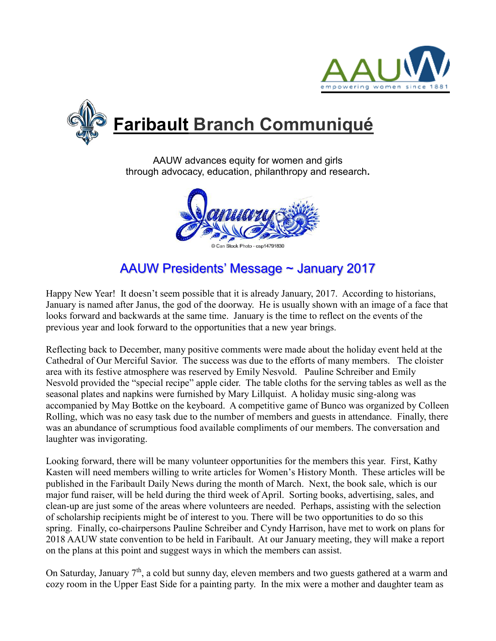



AAUW advances equity for women and girls through advocacy, education, philanthropy and research**.**



# AAUW Presidents' Message ~ January 2017

Happy New Year! It doesn't seem possible that it is already January, 2017. According to historians, January is named after Janus, the god of the doorway. He is usually shown with an image of a face that looks forward and backwards at the same time. January is the time to reflect on the events of the previous year and look forward to the opportunities that a new year brings.

Reflecting back to December, many positive comments were made about the holiday event held at the Cathedral of Our Merciful Savior. The success was due to the efforts of many members. The cloister area with its festive atmosphere was reserved by Emily Nesvold. Pauline Schreiber and Emily Nesvold provided the "special recipe" apple cider. The table cloths for the serving tables as well as the seasonal plates and napkins were furnished by Mary Lillquist. A holiday music sing-along was accompanied by May Bottke on the keyboard. A competitive game of Bunco was organized by Colleen Rolling, which was no easy task due to the number of members and guests in attendance. Finally, there was an abundance of scrumptious food available compliments of our members. The conversation and laughter was invigorating.

Looking forward, there will be many volunteer opportunities for the members this year. First, Kathy Kasten will need members willing to write articles for Women's History Month. These articles will be published in the Faribault Daily News during the month of March. Next, the book sale, which is our major fund raiser, will be held during the third week of April. Sorting books, advertising, sales, and clean-up are just some of the areas where volunteers are needed. Perhaps, assisting with the selection of scholarship recipients might be of interest to you. There will be two opportunities to do so this spring. Finally, co-chairpersons Pauline Schreiber and Cyndy Harrison, have met to work on plans for 2018 AAUW state convention to be held in Faribault. At our January meeting, they will make a report on the plans at this point and suggest ways in which the members can assist.

On Saturday, January  $7<sup>th</sup>$ , a cold but sunny day, eleven members and two guests gathered at a warm and cozy room in the Upper East Side for a painting party. In the mix were a mother and daughter team as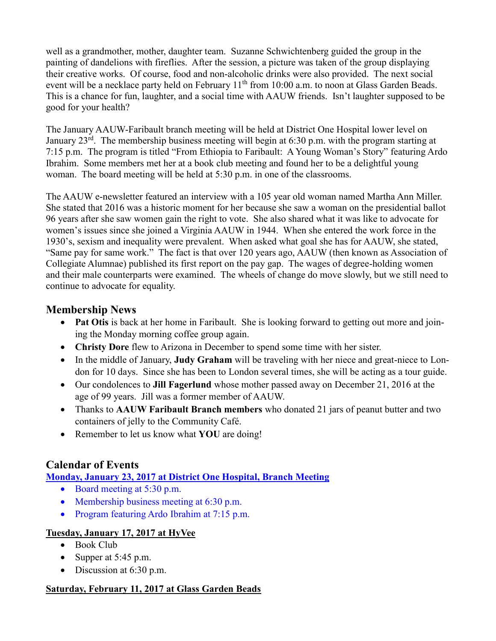well as a grandmother, mother, daughter team. Suzanne Schwichtenberg guided the group in the painting of dandelions with fireflies. After the session, a picture was taken of the group displaying their creative works. Of course, food and non-alcoholic drinks were also provided. The next social event will be a necklace party held on February 11<sup>th</sup> from 10:00 a.m. to noon at Glass Garden Beads. This is a chance for fun, laughter, and a social time with AAUW friends. Isn't laughter supposed to be good for your health?

The January AAUW-Faribault branch meeting will be held at District One Hospital lower level on January 23<sup>rd</sup>. The membership business meeting will begin at 6:30 p.m. with the program starting at 7:15 p.m. The program is titled "From Ethiopia to Faribault: A Young Woman's Story" featuring Ardo Ibrahim. Some members met her at a book club meeting and found her to be a delightful young woman. The board meeting will be held at 5:30 p.m. in one of the classrooms.

The AAUW e-newsletter featured an interview with a 105 year old woman named Martha Ann Miller. She stated that 2016 was a historic moment for her because she saw a woman on the presidential ballot 96 years after she saw women gain the right to vote. She also shared what it was like to advocate for women's issues since she joined a Virginia AAUW in 1944. When she entered the work force in the 1930's, sexism and inequality were prevalent. When asked what goal she has for AAUW, she stated, "Same pay for same work." The fact is that over 120 years ago, AAUW (then known as Association of Collegiate Alumnae) published its first report on the pay gap. The wages of degree-holding women and their male counterparts were examined. The wheels of change do move slowly, but we still need to continue to advocate for equality.

## **Membership News**

- Pat Otis is back at her home in Faribault. She is looking forward to getting out more and joining the Monday morning coffee group again.
- **Christy Dore** flew to Arizona in December to spend some time with her sister.
- In the middle of January, **Judy Graham** will be traveling with her niece and great-niece to London for 10 days. Since she has been to London several times, she will be acting as a tour guide.
- Our condolences to **Jill Fagerlund** whose mother passed away on December 21, 2016 at the age of 99 years. Jill was a former member of AAUW.
- Thanks to **AAUW Faribault Branch members** who donated 21 jars of peanut butter and two containers of jelly to the Community Café.
- Remember to let us know what **YOU** are doing!

# **Calendar of Events**

**Monday, January 23, 2017 at District One Hospital, Branch Meeting**

- Board meeting at 5:30 p.m.
- Membership business meeting at  $6:30$  p.m.
- Program featuring Ardo Ibrahim at 7:15 p.m.

### **Tuesday, January 17, 2017 at HyVee**

- Book Club
- Supper at  $5:45$  p.m.
- $\bullet$  Discussion at 6:30 p.m.

### **Saturday, February 11, 2017 at Glass Garden Beads**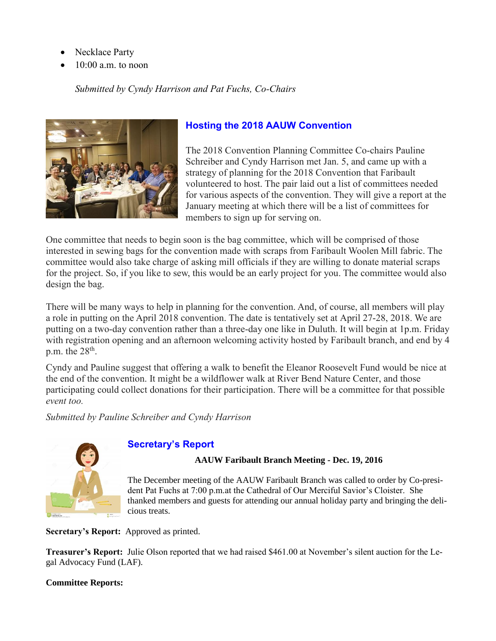- Necklace Party
- 10:00 a.m. to noon

### *Submitted by Cyndy Harrison and Pat Fuchs, Co-Chairs*



## **Hosting the 2018 AAUW Convention**

The 2018 Convention Planning Committee Co-chairs Pauline Schreiber and Cyndy Harrison met Jan. 5, and came up with a strategy of planning for the 2018 Convention that Faribault volunteered to host. The pair laid out a list of committees needed for various aspects of the convention. They will give a report at the January meeting at which there will be a list of committees for members to sign up for serving on.

One committee that needs to begin soon is the bag committee, which will be comprised of those interested in sewing bags for the convention made with scraps from Faribault Woolen Mill fabric. The committee would also take charge of asking mill officials if they are willing to donate material scraps for the project. So, if you like to sew, this would be an early project for you. The committee would also design the bag.

There will be many ways to help in planning for the convention. And, of course, all members will play a role in putting on the April 2018 convention. The date is tentatively set at April 27-28, 2018. We are putting on a two-day convention rather than a three-day one like in Duluth. It will begin at 1p.m. Friday with registration opening and an afternoon welcoming activity hosted by Faribault branch, and end by 4 p.m. the  $28<sup>th</sup>$ .

Cyndy and Pauline suggest that offering a walk to benefit the Eleanor Roosevelt Fund would be nice at the end of the convention. It might be a wildflower walk at River Bend Nature Center, and those participating could collect donations for their participation. There will be a committee for that possible *event too.*

*Submitted by Pauline Schreiber and Cyndy Harrison*



### **Secretary's Report**

#### **AAUW Faribault Branch Meeting - Dec. 19, 2016**

The December meeting of the AAUW Faribault Branch was called to order by Co-president Pat Fuchs at 7:00 p.m.at the Cathedral of Our Merciful Savior's Cloister. She thanked members and guests for attending our annual holiday party and bringing the delicious treats.

**Secretary's Report:** Approved as printed.

**Treasurer's Report:** Julie Olson reported that we had raised \$461.00 at November's silent auction for the Legal Advocacy Fund (LAF).

#### **Committee Reports:**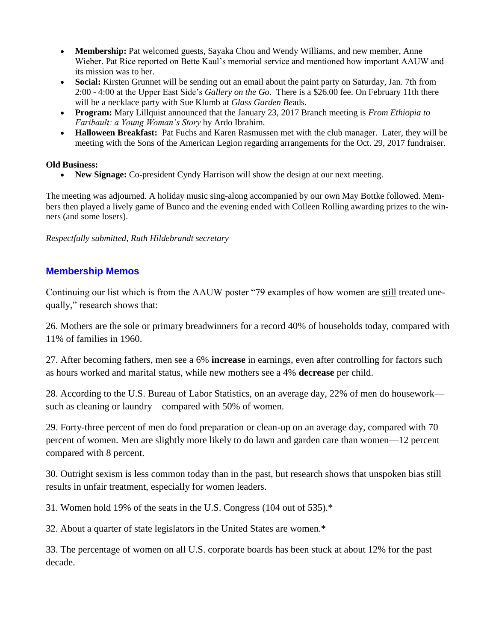- Membership: Pat welcomed guests, Sayaka Chou and Wendy Williams, and new member, Anne Wieber. Pat Rice reported on Bette Kaul's memorial service and mentioned how important AAUW and its mission was to her.
- **Social:** Kirsten Grunnet will be sending out an email about the paint party on Saturday, Jan. 7th from 2:00 - 4:00 at the Upper East Side's *Gallery on the Go*. There is a \$26.00 fee. On February 11th there will be a necklace party with Sue Klumb at *Glass Garden Be*ads.
- **Program:** Mary Lillquist announced that the January 23, 2017 Branch meeting is *From Ethiopia to Faribault: a Young Woman's Story* by Ardo Ibrahim.
- **Halloween Breakfast:** Pat Fuchs and Karen Rasmussen met with the club manager. Later, they will be meeting with the Sons of the American Legion regarding arrangements for the Oct. 29, 2017 fundraiser.

#### **Old Business:**

• New Signage: Co-president Cyndy Harrison will show the design at our next meeting.

The meeting was adjourned. A holiday music sing-along accompanied by our own May Bottke followed. Members then played a lively game of Bunco and the evening ended with Colleen Rolling awarding prizes to the winners (and some losers).

*Respectfully submitted, Ruth Hildebrandt secretary*

### **Membership Memos**

Continuing our list which is from the AAUW poster "79 examples of how women are still treated unequally," research shows that:

26. Mothers are the sole or primary breadwinners for a record 40% of households today, compared with 11% of families in 1960.

27. After becoming fathers, men see a 6% **increase** in earnings, even after controlling for factors such as hours worked and marital status, while new mothers see a 4% **decrease** per child.

28. According to the U.S. Bureau of Labor Statistics, on an average day, 22% of men do housework such as cleaning or laundry—compared with 50% of women.

29. Forty-three percent of men do food preparation or clean-up on an average day, compared with 70 percent of women. Men are slightly more likely to do lawn and garden care than women—12 percent compared with 8 percent.

30. Outright sexism is less common today than in the past, but research shows that unspoken bias still results in unfair treatment, especially for women leaders.

31. Women hold 19% of the seats in the U.S. Congress (104 out of 535).\*

32. About a quarter of state legislators in the United States are women.\*

33. The percentage of women on all U.S. corporate boards has been stuck at about 12% for the past decade.